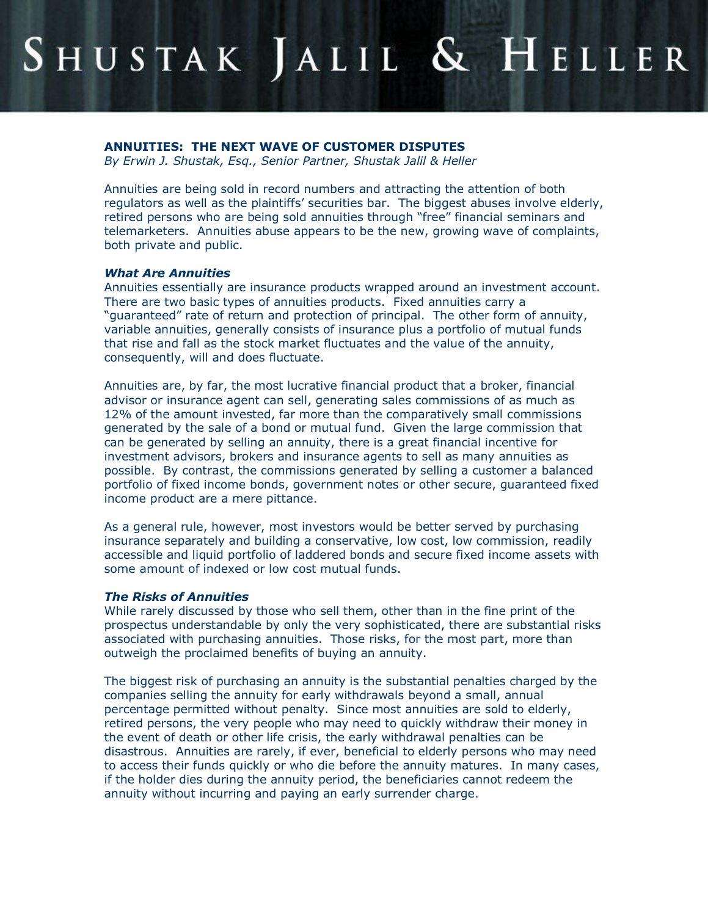# SHUSTAK JALIL & HELLER

## **ANNUITIES: THE NEXT WAVE OF CUSTOMER DISPUTES**

*By Erwin J. Shustak, Esq., Senior Partner, Shustak Jalil & Heller*

Annuities are being sold in record numbers and attracting the attention of both regulators as well as the plaintiffs' securities bar. The biggest abuses involve elderly, retired persons who are being sold annuities through "free" financial seminars and telemarketers. Annuities abuse appears to be the new, growing wave of complaints, both private and public.

#### *What Are Annuities*

Annuities essentially are insurance products wrapped around an investment account. There are two basic types of annuities products. Fixed annuities carry a "guaranteed" rate of return and protection of principal. The other form of annuity, variable annuities, generally consists of insurance plus a portfolio of mutual funds that rise and fall as the stock market fluctuates and the value of the annuity, consequently, will and does fluctuate.

Annuities are, by far, the most lucrative financial product that a broker, financial advisor or insurance agent can sell, generating sales commissions of as much as 12% of the amount invested, far more than the comparatively small commissions generated by the sale of a bond or mutual fund. Given the large commission that can be generated by selling an annuity, there is a great financial incentive for investment advisors, brokers and insurance agents to sell as many annuities as possible. By contrast, the commissions generated by selling a customer a balanced portfolio of fixed income bonds, government notes or other secure, guaranteed fixed income product are a mere pittance.

As a general rule, however, most investors would be better served by purchasing insurance separately and building a conservative, low cost, low commission, readily accessible and liquid portfolio of laddered bonds and secure fixed income assets with some amount of indexed or low cost mutual funds.

#### *The Risks of Annuities*

While rarely discussed by those who sell them, other than in the fine print of the prospectus understandable by only the very sophisticated, there are substantial risks associated with purchasing annuities. Those risks, for the most part, more than outweigh the proclaimed benefits of buying an annuity.

The biggest risk of purchasing an annuity is the substantial penalties charged by the companies selling the annuity for early withdrawals beyond a small, annual percentage permitted without penalty. Since most annuities are sold to elderly, retired persons, the very people who may need to quickly withdraw their money in the event of death or other life crisis, the early withdrawal penalties can be disastrous. Annuities are rarely, if ever, beneficial to elderly persons who may need to access their funds quickly or who die before the annuity matures. In many cases, if the holder dies during the annuity period, the beneficiaries cannot redeem the annuity without incurring and paying an early surrender charge.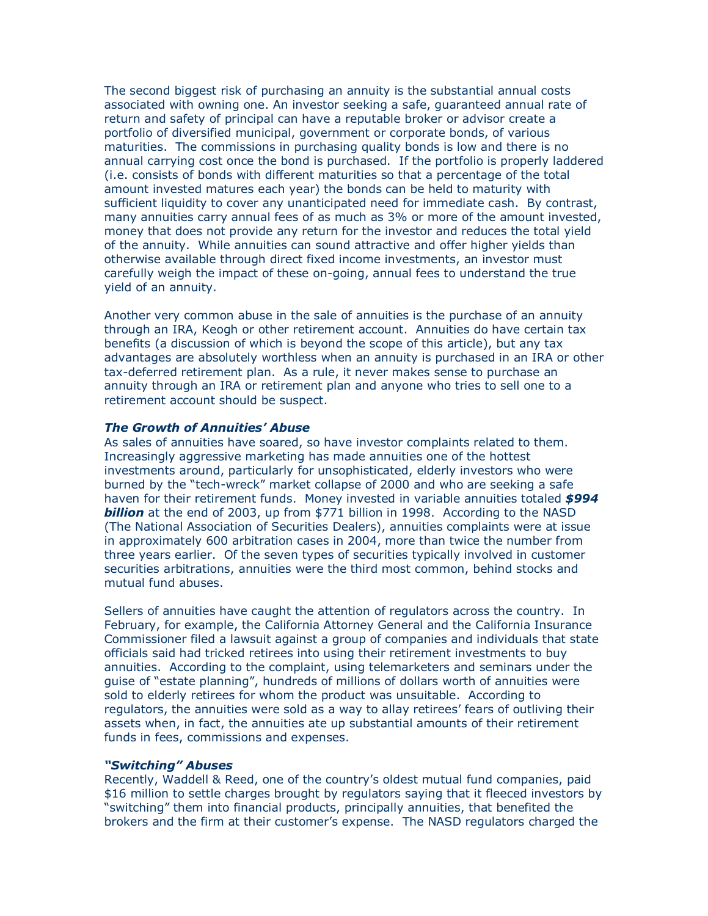The second biggest risk of purchasing an annuity is the substantial annual costs associated with owning one. An investor seeking a safe, guaranteed annual rate of return and safety of principal can have a reputable broker or advisor create a portfolio of diversified municipal, government or corporate bonds, of various maturities. The commissions in purchasing quality bonds is low and there is no annual carrying cost once the bond is purchased. If the portfolio is properly laddered (i.e. consists of bonds with different maturities so that a percentage of the total amount invested matures each year) the bonds can be held to maturity with sufficient liquidity to cover any unanticipated need for immediate cash. By contrast, many annuities carry annual fees of as much as 3% or more of the amount invested, money that does not provide any return for the investor and reduces the total yield of the annuity. While annuities can sound attractive and offer higher yields than otherwise available through direct fixed income investments, an investor must carefully weigh the impact of these on-going, annual fees to understand the true yield of an annuity.

Another very common abuse in the sale of annuities is the purchase of an annuity through an IRA, Keogh or other retirement account. Annuities do have certain tax benefits (a discussion of which is beyond the scope of this article), but any tax advantages are absolutely worthless when an annuity is purchased in an IRA or other tax-deferred retirement plan. As a rule, it never makes sense to purchase an annuity through an IRA or retirement plan and anyone who tries to sell one to a retirement account should be suspect.

### *The Growth of Annuities' Abuse*

As sales of annuities have soared, so have investor complaints related to them. Increasingly aggressive marketing has made annuities one of the hottest investments around, particularly for unsophisticated, elderly investors who were burned by the "tech-wreck" market collapse of 2000 and who are seeking a safe haven for their retirement funds. Money invested in variable annuities totaled *\$994*  **billion** at the end of 2003, up from \$771 billion in 1998. According to the NASD (The National Association of Securities Dealers), annuities complaints were at issue in approximately 600 arbitration cases in 2004, more than twice the number from three years earlier. Of the seven types of securities typically involved in customer securities arbitrations, annuities were the third most common, behind stocks and mutual fund abuses.

Sellers of annuities have caught the attention of regulators across the country. In February, for example, the California Attorney General and the California Insurance Commissioner filed a lawsuit against a group of companies and individuals that state officials said had tricked retirees into using their retirement investments to buy annuities. According to the complaint, using telemarketers and seminars under the guise of "estate planning", hundreds of millions of dollars worth of annuities were sold to elderly retirees for whom the product was unsuitable. According to regulators, the annuities were sold as a way to allay retirees' fears of outliving their assets when, in fact, the annuities ate up substantial amounts of their retirement funds in fees, commissions and expenses.

#### *"Switching" Abuses*

Recently, Waddell & Reed, one of the country's oldest mutual fund companies, paid \$16 million to settle charges brought by regulators saying that it fleeced investors by "switching" them into financial products, principally annuities, that benefited the brokers and the firm at their customer's expense. The NASD regulators charged the